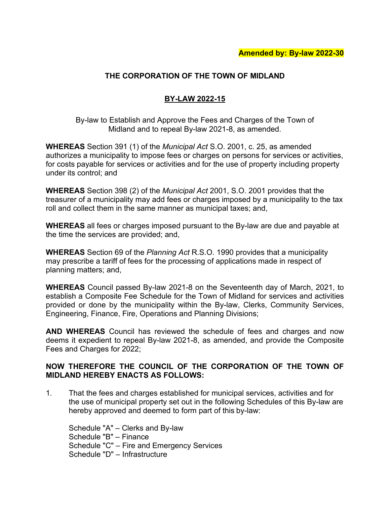# **THE CORPORATION OF THE TOWN OF MIDLAND**

# **BY-LAW 2022-15**

By-law to Establish and Approve the Fees and Charges of the Town of Midland and to repeal By-law 2021-8, as amended.

**WHEREAS** Section 391 (1) of the *Municipal Act* S.O. 2001, c. 25, as amended authorizes a municipality to impose fees or charges on persons for services or activities, for costs payable for services or activities and for the use of property including property under its control; and

**WHEREAS** Section 398 (2) of the *Municipal Act* 2001, S.O. 2001 provides that the treasurer of a municipality may add fees or charges imposed by a municipality to the tax roll and collect them in the same manner as municipal taxes; and,

**WHEREAS** all fees or charges imposed pursuant to the By-law are due and payable at the time the services are provided; and,

**WHEREAS** Section 69 of the *Planning Act* R.S.O. 1990 provides that a municipality may prescribe a tariff of fees for the processing of applications made in respect of planning matters; and,

**WHEREAS** Council passed By-law 2021-8 on the Seventeenth day of March, 2021, to establish a Composite Fee Schedule for the Town of Midland for services and activities provided or done by the municipality within the By-law, Clerks, Community Services, Engineering, Finance, Fire, Operations and Planning Divisions;

**AND WHEREAS** Council has reviewed the schedule of fees and charges and now deems it expedient to repeal By-law 2021-8, as amended, and provide the Composite Fees and Charges for 2022;

## **NOW THEREFORE THE COUNCIL OF THE CORPORATION OF THE TOWN OF MIDLAND HEREBY ENACTS AS FOLLOWS:**

1. That the fees and charges established for municipal services, activities and for the use of municipal property set out in the following Schedules of this By-law are hereby approved and deemed to form part of this by-law:

Schedule "A" – Clerks and By-law Schedule "B" – Finance Schedule "C" – Fire and Emergency Services Schedule "D" – Infrastructure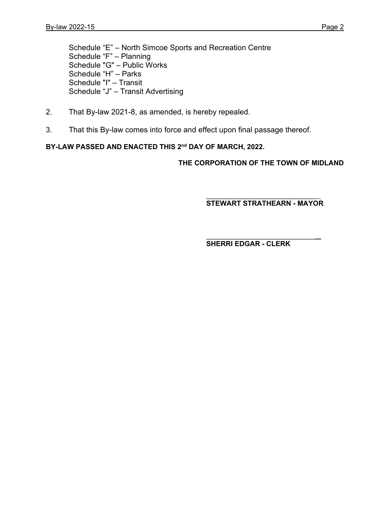Schedule "E" – North Simcoe Sports and Recreation Centre Schedule "F" – Planning Schedule "G" – Public Works Schedule "H" – Parks Schedule "I" – Transit Schedule "J" – Transit Advertising

- 2. That By-law 2021-8, as amended, is hereby repealed.
- 3. That this By-law comes into force and effect upon final passage thereof.

## **BY-LAW PASSED AND ENACTED THIS 2nd DAY OF MARCH, 2022.**

**THE CORPORATION OF THE TOWN OF MIDLAND**

 $\_$ **STEWART STRATHEARN - MAYOR**

 $\overline{\phantom{a}}$  , where  $\overline{\phantom{a}}$  , where  $\overline{\phantom{a}}$  , where  $\overline{\phantom{a}}$ **SHERRI EDGAR - CLERK**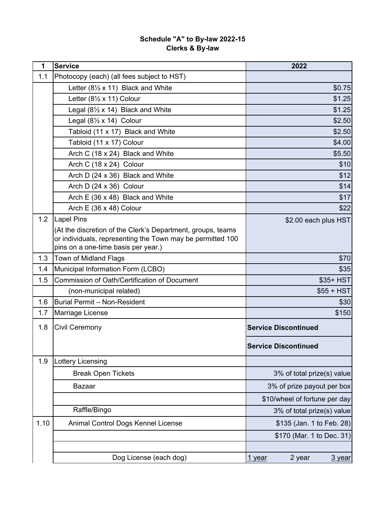| 1    | <b>Service</b>                                               | 2022                          |
|------|--------------------------------------------------------------|-------------------------------|
| 1.1  | Photocopy (each) (all fees subject to HST)                   |                               |
|      | Letter $(8\frac{1}{2} \times 11)$ Black and White            | \$0.75                        |
|      | Letter $(8\frac{1}{2} \times 11)$ Colour                     | \$1.25                        |
|      | Legal $(8\frac{1}{2} \times 14)$ Black and White             | \$1.25                        |
|      | Legal $(8\frac{1}{2} \times 14)$ Colour                      | \$2.50                        |
|      | Tabloid (11 x 17) Black and White                            | \$2.50                        |
|      | Tabloid (11 x 17) Colour                                     | \$4.00                        |
|      | Arch C (18 x 24) Black and White                             | \$5.50                        |
|      | Arch C (18 x 24) Colour                                      | \$10                          |
|      | Arch D (24 x 36) Black and White                             | \$12                          |
|      | Arch D (24 x 36) Colour                                      | \$14                          |
|      | Arch E (36 x 48) Black and White                             | \$17                          |
|      | Arch E (36 x 48) Colour                                      | \$22                          |
| 1.2  | <b>Lapel Pins</b>                                            | \$2.00 each plus HST          |
|      | (At the discretion of the Clerk's Department, groups, teams  |                               |
|      | or individuals, representing the Town may be permitted 100   |                               |
| 1.3  | pins on a one-time basis per year.)<br>Town of Midland Flags | \$70                          |
| 1.4  | Municipal Information Form (LCBO)                            | \$35                          |
| 1.5  | <b>Commission of Oath/Certification of Document</b>          | \$35+ HST                     |
|      | (non-municipal related)                                      | $$55 + HST$                   |
| 1.6  | <b>Burial Permit - Non-Resident</b>                          | \$30                          |
| 1.7  | Marriage License                                             | \$150                         |
|      |                                                              |                               |
| 1.8  | <b>Civil Ceremony</b>                                        | <b>Service Discontinued</b>   |
|      |                                                              | <b>Service Discontinued</b>   |
| 1.9  | <b>Lottery Licensing</b>                                     |                               |
|      | <b>Break Open Tickets</b>                                    | 3% of total prize(s) value    |
|      | <b>Bazaar</b>                                                | 3% of prize payout per box    |
|      |                                                              | \$10/wheel of fortune per day |
|      | Raffle/Bingo                                                 | 3% of total prize(s) value    |
| 1.10 | Animal Control Dogs Kennel License                           | \$135 (Jan. 1 to Feb. 28)     |
|      |                                                              | \$170 (Mar. 1 to Dec. 31)     |
|      |                                                              |                               |
|      | Dog License (each dog)                                       | 2 year<br>1 year<br>3 year    |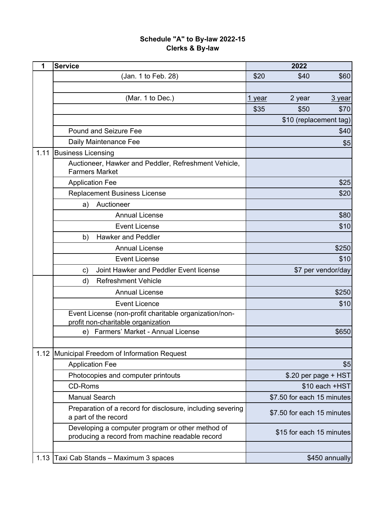| 1    | <b>Service</b>                                                                                      |               | 2022                       |                      |
|------|-----------------------------------------------------------------------------------------------------|---------------|----------------------------|----------------------|
|      | (Jan. 1 to Feb. 28)                                                                                 | \$20          | \$40                       | \$60                 |
|      |                                                                                                     |               |                            |                      |
|      | (Mar. 1 to Dec.)                                                                                    | <u>1 year</u> | 2 year                     | 3 year               |
|      |                                                                                                     | \$35          | \$50                       | \$70                 |
|      |                                                                                                     |               | \$10 (replacement tag)     |                      |
|      | <b>Pound and Seizure Fee</b>                                                                        |               |                            | \$40                 |
|      | Daily Maintenance Fee                                                                               |               |                            | \$5                  |
| 1.11 | <b>Business Licensing</b>                                                                           |               |                            |                      |
|      | Auctioneer, Hawker and Peddler, Refreshment Vehicle,<br><b>Farmers Market</b>                       |               |                            |                      |
|      | <b>Application Fee</b>                                                                              |               |                            | \$25                 |
|      | <b>Replacement Business License</b>                                                                 |               |                            | \$20                 |
|      | Auctioneer<br>a)                                                                                    |               |                            |                      |
|      | <b>Annual License</b>                                                                               |               |                            | \$80                 |
|      | <b>Event License</b>                                                                                |               |                            | \$10                 |
|      | <b>Hawker and Peddler</b><br>b)                                                                     |               |                            |                      |
|      | <b>Annual License</b>                                                                               |               |                            | \$250                |
|      | <b>Event License</b>                                                                                |               |                            | \$10                 |
|      | Joint Hawker and Peddler Event license<br>$\mathsf{c})$                                             |               |                            | \$7 per vendor/day   |
|      | d)<br><b>Refreshment Vehicle</b>                                                                    |               |                            |                      |
|      | <b>Annual License</b>                                                                               |               |                            | \$250                |
|      | <b>Event Licence</b>                                                                                |               |                            | \$10                 |
|      | Event License (non-profit charitable organization/non-<br>profit non-charitable organization        |               |                            |                      |
|      | Farmers' Market - Annual License<br>e)                                                              |               |                            | \$650                |
|      |                                                                                                     |               |                            |                      |
| 1.12 | Municipal Freedom of Information Request                                                            |               |                            |                      |
|      | <b>Application Fee</b>                                                                              |               |                            | \$5                  |
|      | Photocopies and computer printouts                                                                  |               |                            | \$.20 per page + HST |
|      | <b>CD-Roms</b>                                                                                      |               |                            | \$10 each +HST       |
|      | <b>Manual Search</b>                                                                                |               | \$7.50 for each 15 minutes |                      |
|      | Preparation of a record for disclosure, including severing<br>a part of the record                  |               | \$7.50 for each 15 minutes |                      |
|      | Developing a computer program or other method of<br>producing a record from machine readable record |               | \$15 for each 15 minutes   |                      |
|      |                                                                                                     |               |                            |                      |
| 1.13 | Taxi Cab Stands - Maximum 3 spaces                                                                  |               |                            | \$450 annually       |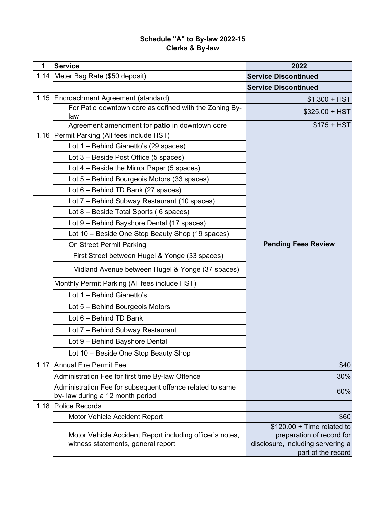| $\mathbf 1$ | <b>Service</b>                                            | 2022                                                     |
|-------------|-----------------------------------------------------------|----------------------------------------------------------|
| 1.14        | Meter Bag Rate (\$50 deposit)                             | <b>Service Discontinued</b>                              |
|             |                                                           | <b>Service Discontinued</b>                              |
|             | 1.15 Encroachment Agreement (standard)                    | $$1,300 + HST$                                           |
|             | For Patio downtown core as defined with the Zoning By-    | $$325.00 + HST$                                          |
|             | law<br>Agreement amendment for patio in downtown core     | $$175 + HST$                                             |
| 1.16        | Permit Parking (All fees include HST)                     |                                                          |
|             | Lot 1 - Behind Gianetto's (29 spaces)                     |                                                          |
|             | Lot 3 - Beside Post Office (5 spaces)                     |                                                          |
|             | Lot $4$ – Beside the Mirror Paper (5 spaces)              |                                                          |
|             | Lot 5 - Behind Bourgeois Motors (33 spaces)               |                                                          |
|             | Lot 6 - Behind TD Bank (27 spaces)                        |                                                          |
|             | Lot 7 - Behind Subway Restaurant (10 spaces)              |                                                          |
|             | Lot 8 - Beside Total Sports (6 spaces)                    |                                                          |
|             | Lot 9 - Behind Bayshore Dental (17 spaces)                |                                                          |
|             | Lot 10 - Beside One Stop Beauty Shop (19 spaces)          |                                                          |
|             | On Street Permit Parking                                  | <b>Pending Fees Review</b>                               |
|             | First Street between Hugel & Yonge (33 spaces)            |                                                          |
|             | Midland Avenue between Hugel & Yonge (37 spaces)          |                                                          |
|             | Monthly Permit Parking (All fees include HST)             |                                                          |
|             | Lot 1 - Behind Gianetto's                                 |                                                          |
|             | Lot 5 - Behind Bourgeois Motors                           |                                                          |
|             | Lot 6 - Behind TD Bank                                    |                                                          |
|             | Lot 7 - Behind Subway Restaurant                          |                                                          |
|             | Lot 9 - Behind Bayshore Dental                            |                                                          |
|             | Lot 10 - Beside One Stop Beauty Shop                      |                                                          |
| 1.17        | Annual Fire Permit Fee                                    | \$40                                                     |
|             | Administration Fee for first time By-law Offence          | 30%                                                      |
|             | Administration Fee for subsequent offence related to same | 60%                                                      |
|             | by- law during a 12 month period                          |                                                          |
| 1.18        | Police Records                                            |                                                          |
|             | Motor Vehicle Accident Report                             | \$60                                                     |
|             | Motor Vehicle Accident Report including officer's notes,  | $$120.00 + Time$ related to<br>preparation of record for |
|             | witness statements, general report                        | disclosure, including servering a                        |
|             |                                                           | part of the record                                       |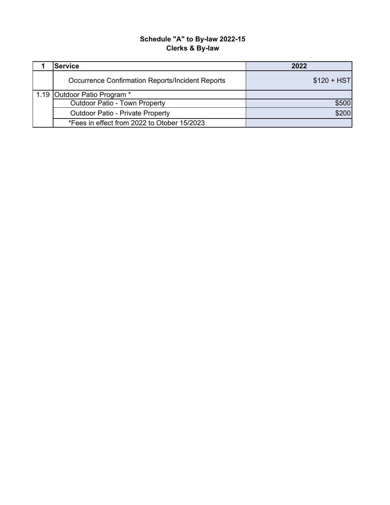| <b>Service</b>                                          | 2022         |
|---------------------------------------------------------|--------------|
| <b>Occurrence Confirmation Reports/Incident Reports</b> | $$120 + HST$ |
| 1.19 Outdoor Patio Program *                            |              |
| <b>Outdoor Patio - Town Property</b>                    | \$500        |
| <b>Outdoor Patio - Private Property</b>                 | \$200        |
| *Fees in effect from 2022 to Otober 15/2023             |              |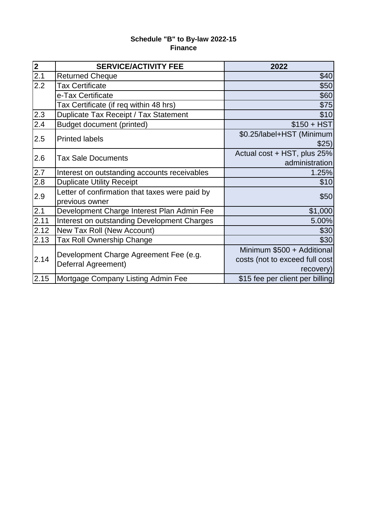## **Finance Schedule "B" to By-law 2022-15**

| $\begin{array}{c}\n\overline{\mathbf{2}} \\ \overline{\mathbf{2.1}} \\ \end{array}$ | <b>SERVICE/ACTIVITY FEE</b>                                      | 2022                                                                      |
|-------------------------------------------------------------------------------------|------------------------------------------------------------------|---------------------------------------------------------------------------|
|                                                                                     | <b>Returned Cheque</b>                                           | \$40                                                                      |
| 2.2                                                                                 | <b>Tax Certificate</b>                                           | \$50                                                                      |
|                                                                                     | e-Tax Certificate                                                | \$60                                                                      |
|                                                                                     | Tax Certificate (if req within 48 hrs)                           | \$75                                                                      |
| 2.3                                                                                 | Duplicate Tax Receipt / Tax Statement                            | \$10                                                                      |
| 2.4                                                                                 | Budget document (printed)                                        | $$150 + HST$                                                              |
| 2.5                                                                                 | <b>Printed labels</b>                                            | \$0.25/label+HST (Minimum<br>\$25)                                        |
| 2.6                                                                                 | <b>Tax Sale Documents</b>                                        | Actual cost + HST, plus 25%<br>administration                             |
| 2.7                                                                                 | Interest on outstanding accounts receivables                     | 1.25%                                                                     |
| 2.8                                                                                 | <b>Duplicate Utility Receipt</b>                                 | \$10                                                                      |
| 2.9                                                                                 | Letter of confirmation that taxes were paid by<br>previous owner | \$50                                                                      |
| 2.1                                                                                 | Development Charge Interest Plan Admin Fee                       | \$1,000                                                                   |
| 2.11                                                                                | Interest on outstanding Development Charges                      | 5.00%                                                                     |
| 2.12                                                                                | New Tax Roll (New Account)                                       | \$30                                                                      |
| 2.13                                                                                | Tax Roll Ownership Change                                        | \$30                                                                      |
| 2.14                                                                                | Development Charge Agreement Fee (e.g.<br>Deferral Agreement)    | Minimum \$500 + Additional<br>costs (not to exceed full cost<br>recovery) |
| 2.15                                                                                | Mortgage Company Listing Admin Fee                               | \$15 fee per client per billing                                           |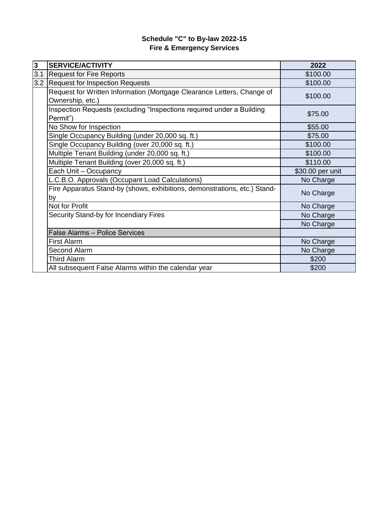## **Fire & Emergency Services Schedule "C" to By-law 2022-15**

| $\overline{\mathbf{3}}$ | <b>SERVICE/ACTIVITY</b>                                                                    | 2022             |
|-------------------------|--------------------------------------------------------------------------------------------|------------------|
| 3.1                     | <b>Request for Fire Reports</b>                                                            | \$100.00         |
| 3.2                     | <b>Request for Inspection Requests</b>                                                     | \$100.00         |
|                         | Request for Written Information (Mortgage Clearance Letters, Change of<br>Ownership, etc.) | \$100.00         |
|                         | Inspection Requests (excluding "Inspections required under a Building<br>Permit")          | \$75.00          |
|                         | No Show for Inspection                                                                     | \$55.00          |
|                         | Single Occupancy Building (under 20,000 sq. ft.)                                           | \$75.00          |
|                         | Single Occupancy Building (over 20,000 sq. ft.)                                            | \$100.00         |
|                         | Multiple Tenant Building (under 20,000 sq. ft.)                                            | \$100.00         |
|                         | Multiple Tenant Building (over 20,000 sq. ft.)                                             | \$110.00         |
|                         | Each Unit - Occupancy                                                                      | \$30.00 per unit |
|                         | L.C.B.O. Approvals (Occupant Load Calculations)                                            | No Charge        |
|                         | Fire Apparatus Stand-by (shows, exhibitions, demonstrations, etc.) Stand-<br>by            | No Charge        |
|                         | Not for Profit                                                                             | No Charge        |
|                         | Security Stand-by for Incendiary Fires                                                     | No Charge        |
|                         |                                                                                            | No Charge        |
|                         | <b>False Alarms - Police Services</b>                                                      |                  |
|                         | <b>First Alarm</b>                                                                         | No Charge        |
|                         | Second Alarm                                                                               | No Charge        |
|                         | <b>Third Alarm</b>                                                                         | \$200            |
|                         | All subsequent False Alarms within the calendar year                                       | \$200            |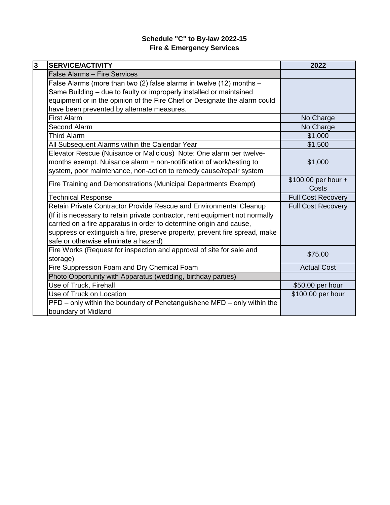## **Fire & Emergency Services Schedule "C" to By-law 2022-15**

| $\overline{3}$ | <b>SERVICE/ACTIVITY</b>                                                       | 2022                      |
|----------------|-------------------------------------------------------------------------------|---------------------------|
|                | False Alarms - Fire Services                                                  |                           |
|                | False Alarms (more than two (2) false alarms in twelve (12) months -          |                           |
|                | Same Building - due to faulty or improperly installed or maintained           |                           |
|                | equipment or in the opinion of the Fire Chief or Designate the alarm could    |                           |
|                | have been prevented by alternate measures.                                    |                           |
|                | <b>First Alarm</b>                                                            | No Charge                 |
|                | Second Alarm                                                                  | No Charge                 |
|                | <b>Third Alarm</b>                                                            | \$1,000                   |
|                | All Subsequent Alarms within the Calendar Year                                | \$1,500                   |
|                | Elevator Rescue (Nuisance or Malicious) Note: One alarm per twelve-           |                           |
|                | months exempt. Nuisance alarm = non-notification of work/testing to           | \$1,000                   |
|                | system, poor maintenance, non-action to remedy cause/repair system            |                           |
|                | Fire Training and Demonstrations (Municipal Departments Exempt)               | \$100.00 per hour +       |
|                |                                                                               | Costs                     |
|                | <b>Technical Response</b>                                                     | <b>Full Cost Recovery</b> |
|                | Retain Private Contractor Provide Rescue and Environmental Cleanup            | <b>Full Cost Recovery</b> |
|                | (If it is necessary to retain private contractor, rent equipment not normally |                           |
|                | carried on a fire apparatus in order to determine origin and cause,           |                           |
|                | suppress or extinguish a fire, preserve property, prevent fire spread, make   |                           |
|                | safe or otherwise eliminate a hazard)                                         |                           |
|                | Fire Works (Request for inspection and approval of site for sale and          | \$75.00                   |
|                | storage)                                                                      |                           |
|                | Fire Suppression Foam and Dry Chemical Foam                                   | <b>Actual Cost</b>        |
|                | Photo Opportunity with Apparatus (wedding, birthday parties)                  |                           |
|                | Use of Truck, Firehall                                                        | \$50.00 per hour          |
|                | Use of Truck on Location                                                      | \$100.00 per hour         |
|                | PFD – only within the boundary of Penetanguishene MFD – only within the       |                           |
|                | boundary of Midland                                                           |                           |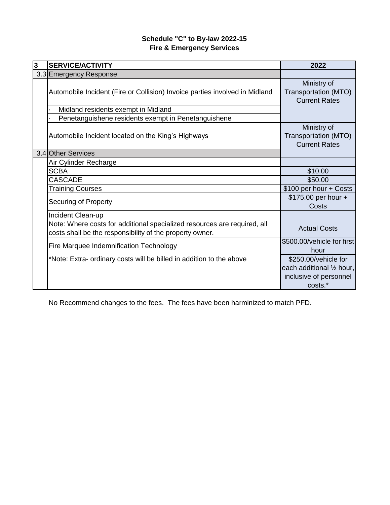# **Fire & Emergency Services Schedule "C" to By-law 2022-15**

| 3 | <b>SERVICE/ACTIVITY</b>                                                                                                                                   | 2022                                                        |
|---|-----------------------------------------------------------------------------------------------------------------------------------------------------------|-------------------------------------------------------------|
|   | 3.3 Emergency Response                                                                                                                                    |                                                             |
|   | Automobile Incident (Fire or Collision) Invoice parties involved in Midland                                                                               | Ministry of<br>Transportation (MTO)<br><b>Current Rates</b> |
|   | Midland residents exempt in Midland                                                                                                                       |                                                             |
|   | Penetanguishene residents exempt in Penetanguishene                                                                                                       |                                                             |
|   | Automobile Incident located on the King's Highways                                                                                                        | Ministry of<br>Transportation (MTO)<br><b>Current Rates</b> |
|   | 3.4 Other Services                                                                                                                                        |                                                             |
|   | Air Cylinder Recharge                                                                                                                                     |                                                             |
|   | <b>SCBA</b>                                                                                                                                               | \$10.00                                                     |
|   | <b>CASCADE</b>                                                                                                                                            | \$50.00                                                     |
|   | <b>Training Courses</b>                                                                                                                                   | \$100 per hour + Costs                                      |
|   | Securing of Property                                                                                                                                      | \$175.00 per hour +<br>Costs                                |
|   | Incident Clean-up<br>Note: Where costs for additional specialized resources are required, all<br>costs shall be the responsibility of the property owner. | <b>Actual Costs</b>                                         |
|   | Fire Marquee Indemnification Technology                                                                                                                   | \$500.00/vehicle for first<br>hour                          |
|   | *Note: Extra- ordinary costs will be billed in addition to the above                                                                                      | \$250.00/vehicle for                                        |
|   |                                                                                                                                                           | each additional 1/2 hour,                                   |
|   |                                                                                                                                                           | inclusive of personnel                                      |
|   |                                                                                                                                                           | costs.*                                                     |

No Recommend changes to the fees. The fees have been harminized to match PFD.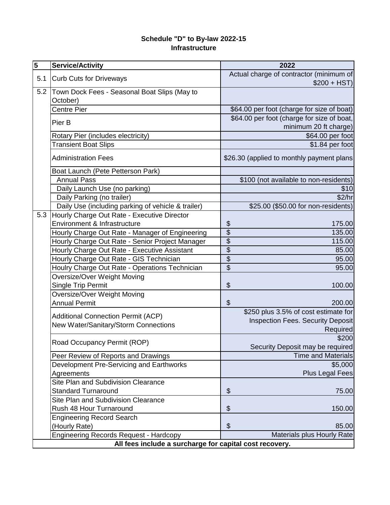### **Infrastructure Schedule "D" to By-law 2022-15**

| $\overline{\mathbf{5}}$ | <b>Service/Activity</b>                                 | 2022                                       |  |  |  |
|-------------------------|---------------------------------------------------------|--------------------------------------------|--|--|--|
| 5.1                     | <b>Curb Cuts for Driveways</b>                          | Actual charge of contractor (minimum of    |  |  |  |
|                         |                                                         | $$200 + HST$                               |  |  |  |
| 5.2                     | Town Dock Fees - Seasonal Boat Slips (May to            |                                            |  |  |  |
|                         | October)                                                |                                            |  |  |  |
|                         | Centre Pier                                             | \$64.00 per foot (charge for size of boat) |  |  |  |
|                         | Pier B                                                  | \$64.00 per foot (charge for size of boat, |  |  |  |
|                         |                                                         | minimum 20 ft charge)                      |  |  |  |
|                         | Rotary Pier (includes electricity)                      | \$64.00 per foot                           |  |  |  |
|                         | <b>Transient Boat Slips</b>                             | \$1.84 per foot                            |  |  |  |
|                         | <b>Administration Fees</b>                              | \$26.30 (applied to monthly payment plans  |  |  |  |
|                         | Boat Launch (Pete Petterson Park)                       |                                            |  |  |  |
|                         | <b>Annual Pass</b>                                      | \$100 (not available to non-residents)     |  |  |  |
|                         | Daily Launch Use (no parking)                           | \$10                                       |  |  |  |
|                         | Daily Parking (no trailer)                              | \$2/hr                                     |  |  |  |
|                         | Daily Use (including parking of vehicle & trailer)      | \$25.00 (\$50.00 for non-residents)        |  |  |  |
| 5.3                     | Hourly Charge Out Rate - Executive Director             |                                            |  |  |  |
|                         | Environment & Infrastructure                            | \$<br>175.00                               |  |  |  |
|                         | Hourly Charge Out Rate - Manager of Engineering         | $\overline{\$}$<br>135.00                  |  |  |  |
|                         | Hourly Charge Out Rate - Senior Project Manager         | $\overline{\mathcal{E}}$<br>115.00         |  |  |  |
|                         | Hourly Charge Out Rate - Executive Assistant            | $\overline{\$}$<br>85.00                   |  |  |  |
|                         | Hourly Charge Out Rate - GIS Technician                 | $\overline{\mathcal{G}}$<br>95.00          |  |  |  |
|                         | Houlry Charge Out Rate - Operations Technician          | $\overline{\$}$<br>95.00                   |  |  |  |
|                         | Oversize/Over Weight Moving                             |                                            |  |  |  |
|                         | Single Trip Permit                                      | \$<br>100.00                               |  |  |  |
|                         | Oversize/Over Weight Moving                             |                                            |  |  |  |
|                         | <b>Annual Permit</b>                                    | \$<br>200.00                               |  |  |  |
|                         | <b>Additional Connection Permit (ACP)</b>               | \$250 plus 3.5% of cost estimate for       |  |  |  |
|                         | New Water/Sanitary/Storm Connections                    | <b>Inspection Fees. Security Deposit</b>   |  |  |  |
|                         |                                                         | <b>Required</b>                            |  |  |  |
|                         | Road Occupancy Permit (ROP)                             | \$200                                      |  |  |  |
|                         |                                                         | Security Deposit may be required           |  |  |  |
|                         | Peer Review of Reports and Drawings                     | <b>Time and Materials</b>                  |  |  |  |
|                         | Development Pre-Servicing and Earthworks                | \$5,000                                    |  |  |  |
|                         | Agreements                                              | Plus Legal Fees                            |  |  |  |
|                         | <b>Site Plan and Subdivision Clearance</b>              |                                            |  |  |  |
|                         | <b>Standard Turnaround</b>                              | \$<br>75.00                                |  |  |  |
|                         | <b>Site Plan and Subdivision Clearance</b>              |                                            |  |  |  |
|                         | Rush 48 Hour Turnaround                                 | \$<br>150.00                               |  |  |  |
|                         | <b>Engineering Record Search</b>                        |                                            |  |  |  |
|                         | (Hourly Rate)                                           | \$<br>85.00                                |  |  |  |
|                         | <b>Engineering Records Request - Hardcopy</b>           | Materials plus Hourly Rate                 |  |  |  |
|                         | All fees include a surcharge for capital cost recovery. |                                            |  |  |  |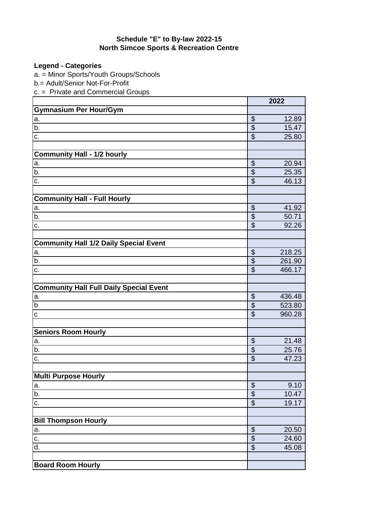#### **North Simcoe Sports & Recreation Centre Schedule "E" to By-law 2022-15**

**Legend - Categories**

a. = Minor Sports/Youth Groups/Schools

b.= Adult/Senior Not-For-Profit

c. = Private and Commercial Groups

|                                                |                           | 2022   |
|------------------------------------------------|---------------------------|--------|
| <b>Gymnasium Per Hour/Gym</b>                  |                           |        |
| a.                                             | \$                        | 12.89  |
| b.                                             | $\overline{\$}$           | 15.47  |
| c.                                             | $\overline{\$}$           | 25.80  |
|                                                |                           |        |
| <b>Community Hall - 1/2 hourly</b>             |                           |        |
| a.                                             | $\overline{\mathcal{S}}$  | 20.94  |
| b.                                             | $\overline{\$}$           | 25.35  |
| c.                                             | $\overline{\$}$           | 46.13  |
|                                                |                           |        |
| <b>Community Hall - Full Hourly</b>            |                           |        |
| a.                                             | $\boldsymbol{\mathsf{S}}$ | 41.92  |
| b.                                             | $\overline{\$}$           | 50.71  |
| c.                                             | $\overline{\$}$           | 92.26  |
|                                                |                           |        |
| <b>Community Hall 1/2 Daily Special Event</b>  |                           |        |
| a.                                             | $\overline{\mathcal{S}}$  | 218.25 |
| b.                                             | $\overline{\$}$           | 261.90 |
| c.                                             | $\overline{\mathcal{S}}$  | 466.17 |
|                                                |                           |        |
| <b>Community Hall Full Daily Special Event</b> |                           |        |
| a.                                             | $\boldsymbol{\mathsf{S}}$ | 436.48 |
| $\overline{b}$                                 | $\overline{\$}$           | 523.80 |
| $\mathbf c$                                    | $\overline{\$}$           | 960.28 |
|                                                |                           |        |
| <b>Seniors Room Hourly</b>                     |                           |        |
| a.                                             | \$                        | 21.48  |
| b.                                             | $\overline{\$}$           | 25.76  |
| c.                                             | $\overline{\mathcal{S}}$  | 47.23  |
|                                                |                           |        |
| <b>Multi Purpose Hourly</b>                    |                           |        |
| ıа.                                            | $\overline{\mathcal{L}}$  | 9.10   |
| b.                                             | $\frac{3}{9}$             | 10.47  |
| c.                                             |                           | 19.17  |
| <b>Bill Thompson Hourly</b>                    |                           |        |
| a.                                             | $\boldsymbol{\mathsf{S}}$ | 20.50  |
| C.                                             | $\overline{\$}$           | 24.60  |
| d.                                             | $\overline{\$}$           | 45.08  |
|                                                |                           |        |
| <b>Board Room Hourly</b>                       |                           |        |
|                                                |                           |        |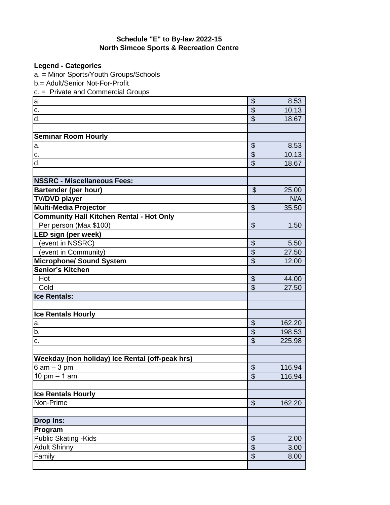# **North Simcoe Sports & Recreation Centre Schedule "E" to By-law 2022-15**

**Legend - Categories**

a. = Minor Sports/Youth Groups/Schools

b.= Adult/Senior Not-For-Profit

c. = Private and Commercial Groups

| a.                                              | \$                             | 8.53          |
|-------------------------------------------------|--------------------------------|---------------|
| c.                                              | $\overline{\mathcal{S}}$       | 10.13         |
| d.                                              | $\boldsymbol{\mathsf{S}}$      | 18.67         |
|                                                 |                                |               |
| <b>Seminar Room Hourly</b>                      |                                |               |
| a.                                              | $\boldsymbol{\theta}$          | 8.53          |
| c.                                              | $\overline{\mathcal{S}}$       | 10.13         |
| d.                                              | $\overline{\mathcal{S}}$       | 18.67         |
| <b>NSSRC - Miscellaneous Fees:</b>              |                                |               |
|                                                 | $\boldsymbol{\mathsf{S}}$      |               |
| <b>Bartender (per hour)</b>                     |                                | 25.00         |
| <b>TV/DVD player</b>                            |                                | N/A           |
| <b>Multi-Media Projector</b>                    | $\boldsymbol{\mathsf{S}}$      | 35.50         |
| <b>Community Hall Kitchen Rental - Hot Only</b> |                                |               |
| Per person (Max \$100)                          | $\boldsymbol{\mathsf{S}}$      | 1.50          |
| <b>LED sign (per week)</b>                      |                                |               |
| (event in NSSRC)                                | \$                             | 5.50<br>27.50 |
| (event in Community)                            | $\overline{\mathcal{S}}$       |               |
| <b>Microphone/ Sound System</b>                 | \$                             | 12.00         |
| Senior's Kitchen                                |                                |               |
| Hot                                             | \$                             | 44.00         |
| Cold                                            | $\mathfrak{S}$                 | 27.50         |
| <b>Ice Rentals:</b>                             |                                |               |
|                                                 |                                |               |
| <b>Ice Rentals Hourly</b>                       |                                |               |
| a.                                              | $\boldsymbol{\mathsf{S}}$      | 162.20        |
| b.                                              | \$                             | 198.53        |
| c.                                              | $\mathfrak{S}$                 | 225.98        |
|                                                 |                                |               |
| Weekday (non holiday) Ice Rental (off-peak hrs) |                                |               |
| $6$ am $-3$ pm                                  | \$<br>$\overline{\mathcal{S}}$ | 116.94        |
| 10 pm $-$ 1 am                                  |                                | 116.94        |
|                                                 |                                |               |
| <b>Ice Rentals Hourly</b>                       |                                |               |
| Non-Prime                                       | $\boldsymbol{\mathsf{S}}$      | 162.20        |
| <b>Drop Ins:</b>                                |                                |               |
| Program                                         |                                |               |
| <b>Public Skating - Kids</b>                    | $\boldsymbol{\theta}$          | 2.00          |
| <b>Adult Shinny</b>                             | \$                             | 3.00          |
| Family                                          | $\overline{\mathcal{S}}$       | 8.00          |
|                                                 |                                |               |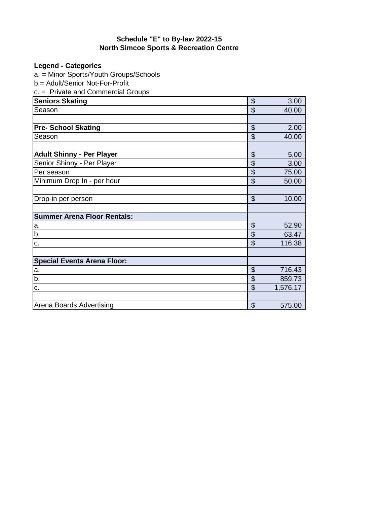#### **North Simcoe Sports & Recreation Centre Schedule "E" to By-law 2022-15**

# **Legend - Categories**

a. = Minor Sports/Youth Groups/Schools

b.= Adult/Senior Not-For-Profit

c. = Private and Commercial Groups

| <b>Seniors Skating</b>             | \$                        | 3.00     |
|------------------------------------|---------------------------|----------|
| Season                             | \$                        | 40.00    |
|                                    |                           |          |
| <b>Pre- School Skating</b>         | \$                        | 2.00     |
| Season                             | \$                        | 40.00    |
|                                    |                           |          |
| <b>Adult Shinny - Per Player</b>   | \$                        | 5.00     |
| Senior Shinny - Per Player         | \$                        | 3.00     |
| Per season                         | \$                        | 75.00    |
| Minimum Drop In - per hour         | \$                        | 50.00    |
|                                    |                           |          |
| Drop-in per person                 | \$                        | 10.00    |
|                                    |                           |          |
| <b>Summer Arena Floor Rentals:</b> |                           |          |
| a.                                 | \$                        | 52.90    |
| b.                                 | \$                        | 63.47    |
| c.                                 | \$                        | 116.38   |
|                                    |                           |          |
| <b>Special Events Arena Floor:</b> |                           |          |
| a.                                 | $\boldsymbol{\mathsf{S}}$ | 716.43   |
| b.                                 | $\boldsymbol{\theta}$     | 859.73   |
| c.                                 | \$                        | 1,576.17 |
|                                    |                           |          |
| Arena Boards Advertising           | $\mathfrak{L}$            | 575.00   |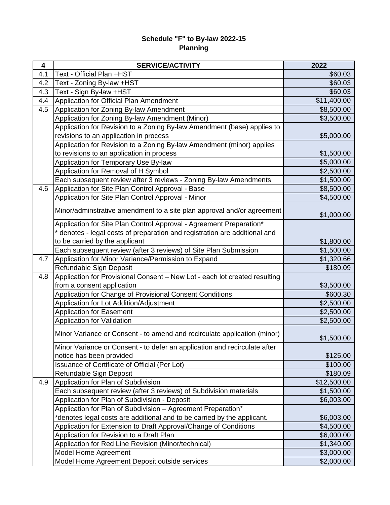### **Planning Schedule "F" to By-law 2022-15**

| 4   | <b>SERVICE/ACTIVITY</b>                                                    | 2022        |
|-----|----------------------------------------------------------------------------|-------------|
| 4.1 | Text - Official Plan +HST                                                  | \$60.03     |
| 4.2 | Text - Zoning By-law +HST                                                  | \$60.03     |
| 4.3 | Text - Sign By-law +HST                                                    | \$60.03     |
| 4.4 | Application for Official Plan Amendment                                    | \$11,400.00 |
| 4.5 | Application for Zoning By-law Amendment                                    | \$8,500.00  |
|     | Application for Zoning By-law Amendment (Minor)                            | \$3,500.00  |
|     | Application for Revision to a Zoning By-law Amendment (base) applies to    |             |
|     | revisions to an application in process                                     | \$5,000.00  |
|     | Application for Revision to a Zoning By-law Amendment (minor) applies      |             |
|     | to revisions to an application in process                                  | \$1,500.00  |
|     | Application for Temporary Use By-law                                       | \$5,000.00  |
|     | Application for Removal of H Symbol                                        | \$2,500.00  |
|     | Each subsequent review after 3 reviews - Zoning By-law Amendments          | \$1,500.00  |
| 4.6 | Application for Site Plan Control Approval - Base                          | \$8,500.00  |
|     | Application for Site Plan Control Approval - Minor                         | \$4,500.00  |
|     | Minor/adminstrative amendment to a site plan approval and/or agreement     | \$1,000.00  |
|     | Application for Site Plan Control Approval - Agreement Preparation*        |             |
|     | * denotes - legal costs of preparation and registration are additional and |             |
|     | to be carried by the applicant                                             | \$1,800.00  |
|     | Each subsequent review (after 3 reviews) of Site Plan Submission           | \$1,500.00  |
| 4.7 | Application for Minor Variance/Permission to Expand                        | \$1,320.66  |
|     | Refundable Sign Deposit                                                    | \$180.09    |
| 4.8 | Application for Provisional Consent - New Lot - each lot created resulting |             |
|     | from a consent application                                                 | \$3,500.00  |
|     | Application for Change of Provisional Consent Conditions                   | \$600.30    |
|     | Application for Lot Addition/Adjustment                                    | \$2,500.00  |
|     | <b>Application for Easement</b>                                            | \$2,500.00  |
|     | Application for Validation                                                 | \$2,500.00  |
|     | Minor Variance or Consent - to amend and recirculate application (minor)   | \$1,500.00  |
|     | Minor Variance or Consent - to defer an application and recirculate after  |             |
|     | notice has been provided                                                   | \$125.00    |
|     | Issuance of Certificate of Official (Per Lot)                              | \$100.00    |
|     | Refundable Sign Deposit                                                    | \$180.09    |
| 4.9 | Application for Plan of Subdivision                                        | \$12,500.00 |
|     | Each subsequent review (after 3 reviews) of Subdivision materials          | \$1,500.00  |
|     | Application for Plan of Subdivision - Deposit                              | \$6,003.00  |
|     | Application for Plan of Subdivision - Agreement Preparation*               |             |
|     | *denotes legal costs are additional and to be carried by the applicant.    | \$6,003.00  |
|     | Application for Extension to Draft Approval/Change of Conditions           | \$4,500.00  |
|     | Application for Revision to a Draft Plan                                   | \$6,000.00  |
|     | Application for Red Line Revision (Minor/technical)                        | \$1,340.00  |
|     | Model Home Agreement                                                       | \$3,000.00  |
|     | Model Home Agreement Deposit outside services                              | \$2,000.00  |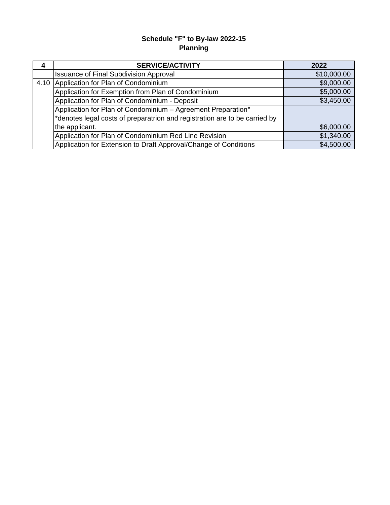## **Planning Schedule "F" to By-law 2022-15**

| 4    | <b>SERVICE/ACTIVITY</b>                                                            | 2022        |
|------|------------------------------------------------------------------------------------|-------------|
|      | <b>Issuance of Final Subdivision Approval</b>                                      | \$10,000.00 |
| 4.10 | Application for Plan of Condominium                                                | \$9,000.00  |
|      | Application for Exemption from Plan of Condominium                                 | \$5,000.00  |
|      | Application for Plan of Condominium - Deposit                                      | \$3,450.00  |
|      | Application for Plan of Condominium - Agreement Preparation*                       |             |
|      | $\vert$ *denotes legal costs of preparatrion and registration are to be carried by |             |
|      | the applicant.                                                                     | \$6,000.00  |
|      | Application for Plan of Condominium Red Line Revision                              | \$1,340.00  |
|      | Application for Extension to Draft Approval/Change of Conditions                   | \$4,500.00  |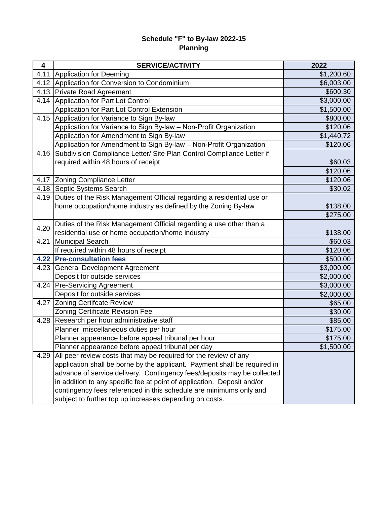## **Planning Schedule "F" to By-law 2022-15**

| 4    | <b>SERVICE/ACTIVITY</b>                                                   | 2022       |
|------|---------------------------------------------------------------------------|------------|
| 4.11 | Application for Deeming                                                   | \$1,200.60 |
| 4.12 | Application for Conversion to Condominium                                 | \$6,003.00 |
| 4.13 | <b>Private Road Agreement</b>                                             | \$600.30   |
| 4.14 | Application for Part Lot Control                                          | \$3,000.00 |
|      | Application for Part Lot Control Extension                                | \$1,500.00 |
| 4.15 | Application for Variance to Sign By-law                                   | \$800.00   |
|      | Application for Variance to Sign By-law - Non-Profit Organization         | \$120.06   |
|      | Application for Amendment to Sign By-law                                  | \$1,440.72 |
|      | Application for Amendment to Sign By-law - Non-Profit Organization        | \$120.06   |
| 4.16 | Subdivision Compliance Letter/ Site Plan Control Compliance Letter if     |            |
|      | required within 48 hours of receipt                                       | \$60.03    |
|      |                                                                           | \$120.06   |
| 4.17 | <b>Zoning Compliance Letter</b>                                           | \$120.06   |
| 4.18 | Septic Systems Search                                                     | \$30.02    |
| 4.19 | Duties of the Risk Management Official regarding a residential use or     |            |
|      | home occupation/home industry as defined by the Zoning By-law             | \$138.00   |
|      |                                                                           | \$275.00   |
|      | Duties of the Risk Management Official regarding a use other than a       |            |
| 4.20 | residential use or home occupation/home industry                          | \$138.00   |
| 4.21 | <b>Municipal Search</b>                                                   | \$60.03    |
|      | If required within 48 hours of receipt                                    | \$120.06   |
| 4.22 | <b>Pre-consultation fees</b>                                              | \$500.00   |
| 4.23 | General Development Agreement                                             | \$3,000.00 |
|      | Deposit for outside services                                              | \$2,000.00 |
| 4.24 | <b>Pre-Servicing Agreement</b>                                            | \$3,000.00 |
|      | Deposit for outside services                                              | \$2,000.00 |
| 4.27 | <b>Zoning Certifcate Review</b>                                           | \$65.00    |
|      | Zoning Certificate Revision Fee                                           | \$30.00    |
| 4.28 | Research per hour administrative staff                                    | \$85.00    |
|      | Planner miscellaneous duties per hour                                     | \$175.00   |
|      | Planner appearance before appeal tribunal per hour                        | \$175.00   |
|      | Planner appearance before appeal tribunal per day                         | \$1,500.00 |
| 4.29 | All peer review costs that may be required for the review of any          |            |
|      | application shall be borne by the applicant. Payment shall be required in |            |
|      | advance of service delivery. Contingency fees/deposits may be collected   |            |
|      | in addition to any specific fee at point of application. Deposit and/or   |            |
|      | contingency fees referenced in this schedule are minimums only and        |            |
|      | subject to further top up increases depending on costs.                   |            |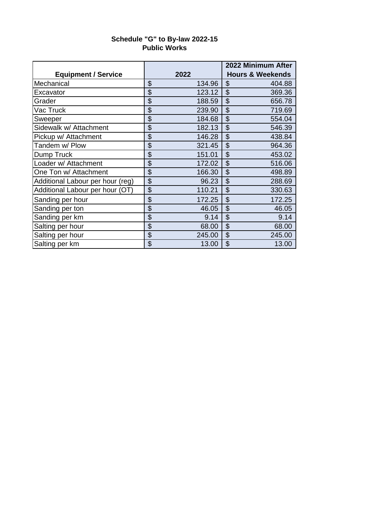|                                  |              | 2022 Minimum After          |
|----------------------------------|--------------|-----------------------------|
| <b>Equipment / Service</b>       | 2022         | <b>Hours &amp; Weekends</b> |
| Mechanical                       | \$<br>134.96 | \$<br>404.88                |
| Excavator                        | \$<br>123.12 | $\mathfrak{S}$<br>369.36    |
| Grader                           | \$<br>188.59 | \$<br>656.78                |
| Vac Truck                        | \$<br>239.90 | $\mathfrak{S}$<br>719.69    |
| Sweeper                          | \$<br>184.68 | \$<br>554.04                |
| Sidewalk w/ Attachment           | \$<br>182.13 | \$<br>546.39                |
| Pickup w/ Attachment             | \$<br>146.28 | \$<br>438.84                |
| Tandem w/ Plow                   | \$<br>321.45 | $\mathfrak{S}$<br>964.36    |
| Dump Truck                       | \$<br>151.01 | \$<br>453.02                |
| Loader w/ Attachment             | \$<br>172.02 | \$<br>516.06                |
| One Ton w/ Attachment            | \$<br>166.30 | \$<br>498.89                |
| Additional Labour per hour (reg) | \$<br>96.23  | \$<br>288.69                |
| Additional Labour per hour (OT)  | \$<br>110.21 | $\mathfrak{S}$<br>330.63    |
| Sanding per hour                 | \$<br>172.25 | \$<br>172.25                |
| Sanding per ton                  | \$<br>46.05  | \$<br>46.05                 |
| Sanding per km                   | \$<br>9.14   | \$<br>9.14                  |
| Salting per hour                 | \$<br>68.00  | \$<br>68.00                 |
| Salting per hour                 | \$<br>245.00 | \$<br>245.00                |
| Salting per km                   | \$<br>13.00  | $\mathfrak{L}$<br>13.00     |

## **Public Works Schedule "G" to By-law 2022-15**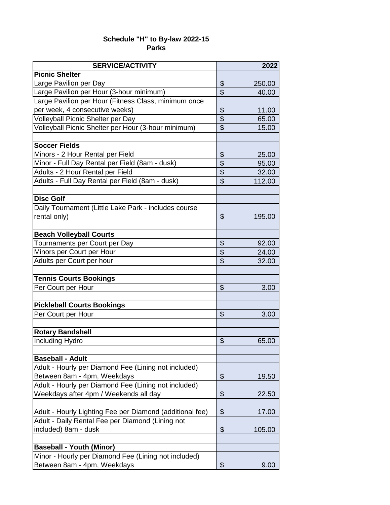## **Parks Schedule "H" to By-law 2022-15**

| <b>SERVICE/ACTIVITY</b>                                  |                           | 2022   |
|----------------------------------------------------------|---------------------------|--------|
| <b>Picnic Shelter</b>                                    |                           |        |
| Large Pavilion per Day                                   | \$                        | 250.00 |
| Large Pavilion per Hour (3-hour minimum)                 | $\overline{\mathcal{S}}$  | 40.00  |
| Large Pavilion per Hour (Fitness Class, minimum once     |                           |        |
| per week, 4 consecutive weeks)                           | \$                        | 11.00  |
| Volleyball Picnic Shelter per Day                        | \$                        | 65.00  |
| Volleyball Picnic Shelter per Hour (3-hour minimum)      | $\overline{\mathcal{S}}$  | 15.00  |
|                                                          |                           |        |
| <b>Soccer Fields</b>                                     |                           |        |
| Minors - 2 Hour Rental per Field                         | \$                        | 25.00  |
| Minor - Full Day Rental per Field (8am - dusk)           | $\overline{\$}$           | 95.00  |
| Adults - 2 Hour Rental per Field                         | $\overline{\$}$           | 32.00  |
| Adults - Full Day Rental per Field (8am - dusk)          | \$                        | 112.00 |
|                                                          |                           |        |
| <b>Disc Golf</b>                                         |                           |        |
| Daily Tournament (Little Lake Park - includes course     |                           |        |
| rental only)                                             | \$                        | 195.00 |
|                                                          |                           |        |
| <b>Beach Volleyball Courts</b>                           |                           |        |
| Tournaments per Court per Day                            | \$                        | 92.00  |
| Minors per Court per Hour                                | $\overline{\$}$           | 24.00  |
| Adults per Court per hour                                | \$                        | 32.00  |
|                                                          |                           |        |
| <b>Tennis Courts Bookings</b>                            |                           |        |
| Per Court per Hour                                       | \$                        | 3.00   |
|                                                          |                           |        |
| <b>Pickleball Courts Bookings</b>                        |                           |        |
| Per Court per Hour                                       | \$                        | 3.00   |
|                                                          |                           |        |
| <b>Rotary Bandshell</b>                                  |                           |        |
| Including Hydro                                          | $\boldsymbol{\mathsf{S}}$ | 65.00  |
|                                                          |                           |        |
| <b>Baseball - Adult</b>                                  |                           |        |
| Adult - Hourly per Diamond Fee (Lining not included)     |                           |        |
| Between 8am - 4pm, Weekdays                              | \$                        | 19.50  |
| Adult - Hourly per Diamond Fee (Lining not included)     |                           |        |
| Weekdays after 4pm / Weekends all day                    | \$                        | 22.50  |
|                                                          |                           |        |
| Adult - Hourly Lighting Fee per Diamond (additional fee) | \$                        | 17.00  |
| Adult - Daily Rental Fee per Diamond (Lining not         |                           |        |
| included) 8am - dusk                                     | \$                        | 105.00 |
|                                                          |                           |        |
| <b>Baseball - Youth (Minor)</b>                          |                           |        |
| Minor - Hourly per Diamond Fee (Lining not included)     |                           |        |
| Between 8am - 4pm, Weekdays                              | \$                        | 9.00   |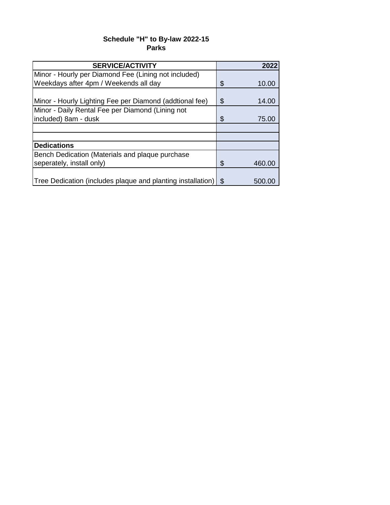## **Parks Schedule "H" to By-law 2022-15**

| <b>SERVICE/ACTIVITY</b>                                     |      | 2022   |
|-------------------------------------------------------------|------|--------|
| Minor - Hourly per Diamond Fee (Lining not included)        |      |        |
| Weekdays after 4pm / Weekends all day                       | \$   | 10.00  |
|                                                             |      |        |
| Minor - Hourly Lighting Fee per Diamond (addtional fee)     | S    | 14.00  |
| Minor - Daily Rental Fee per Diamond (Lining not            |      |        |
| included) 8am - dusk                                        | \$   | 75.00  |
|                                                             |      |        |
|                                                             |      |        |
| <b>Dedications</b>                                          |      |        |
| Bench Dedication (Materials and plaque purchase             |      |        |
| seperately, install only)                                   | \$   | 460.00 |
|                                                             |      |        |
| Tree Dedication (includes plaque and planting installation) | - \$ | 500.00 |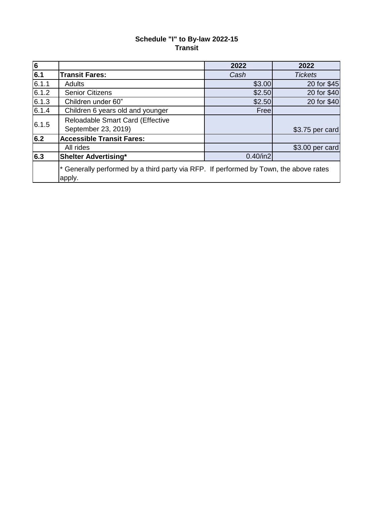## **Transit Schedule "I" to By-law 2022-15**

| $\overline{6}$   |                                                                                                 | 2022        | 2022            |  |  |
|------------------|-------------------------------------------------------------------------------------------------|-------------|-----------------|--|--|
| 6.1              | <b>Transit Fares:</b>                                                                           | Cash        | <b>Tickets</b>  |  |  |
| 6.1.1            | <b>Adults</b>                                                                                   | \$3.00      | 20 for \$45     |  |  |
| 6.1.2            | <b>Senior Citizens</b>                                                                          | \$2.50      | 20 for \$40     |  |  |
| 6.1.3            | Children under 60"                                                                              | \$2.50      | 20 for \$40     |  |  |
| 6.1.4            | Children 6 years old and younger                                                                | Freel       |                 |  |  |
| 6.1.5            | Reloadable Smart Card (Effective                                                                |             |                 |  |  |
|                  | September 23, 2019)                                                                             |             | \$3.75 per card |  |  |
| 6.2              | <b>Accessible Transit Fares:</b>                                                                |             |                 |  |  |
|                  | All rides                                                                                       |             | \$3.00 per card |  |  |
| $\overline{6.3}$ | <b>Shelter Advertising*</b>                                                                     | $0.40$ /in2 |                 |  |  |
|                  | * Generally performed by a third party via RFP. If performed by Town, the above rates<br>apply. |             |                 |  |  |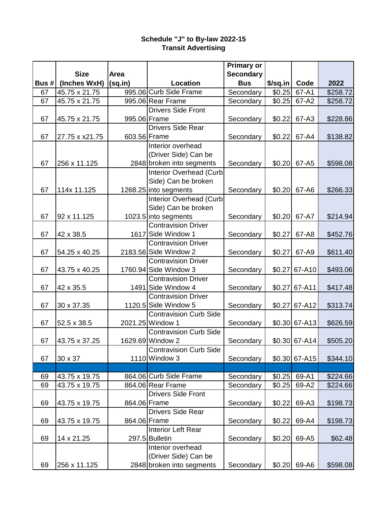## **Transit Advertising Schedule "J" to By-law 2022-15**

|      |                |              |                                                     | <b>Primary or</b> |          |                 |          |
|------|----------------|--------------|-----------------------------------------------------|-------------------|----------|-----------------|----------|
|      | <b>Size</b>    | Area         |                                                     | <b>Secondary</b>  |          |                 |          |
| Bus# | (Inches WxH)   | (sq.in)      | Location                                            | <b>Bus</b>        | \$/sq.in | Code            | 2022     |
| 67   | 45.75 x 21.75  |              | 995.06 Curb Side Frame                              | Secondary         | \$0.25   | 67-A1           | \$258.72 |
| 67   | 45.75 x 21.75  |              | 995.06 Rear Frame                                   | Secondary         | \$0.25   | 67-A2           | \$258.72 |
|      |                |              | <b>Drivers Side Front</b>                           |                   |          |                 |          |
| 67   | 45.75 x 21.75  | 995.06 Frame |                                                     | Secondary         | \$0.22   | 67-A3           | \$228.86 |
|      |                |              | <b>Drivers Side Rear</b>                            |                   |          |                 |          |
| 67   | 27.75 x x21.75 | 603.56 Frame |                                                     | Secondary         | \$0.22   | 67-A4           | \$138.82 |
|      |                |              | Interior overhead                                   |                   |          |                 |          |
|      |                |              | (Driver Side) Can be                                |                   |          |                 |          |
| 67   | 256 x 11.125   |              | 2848 broken into segments                           | Secondary         | \$0.20   | 67-A5           | \$598.08 |
|      |                |              | <b>Interior Overhead (Curb</b>                      |                   |          |                 |          |
|      |                |              | Side) Can be broken                                 |                   |          |                 |          |
| 67   | 114x 11.125    |              | 1268.25 into segments                               | Secondary         | \$0.20   | 67-A6           | \$266.33 |
|      |                |              | <b>Interior Overhead (Curb</b>                      |                   |          |                 |          |
|      |                |              | Side) Can be broken                                 |                   |          |                 |          |
| 67   | 92 x 11.125    |              | 1023.5 into segments                                | Secondary         | \$0.20   | 67-A7           | \$214.94 |
|      |                |              | <b>Contravision Driver</b>                          |                   |          |                 |          |
| 67   | 42 x 38.5      |              | 1617 Side Window 1<br><b>Contravision Driver</b>    | Secondary         | \$0.27   | 67-A8           | \$452.76 |
|      |                |              |                                                     |                   |          |                 |          |
| 67   | 54.25 x 40.25  |              | 2183.56 Side Window 2<br><b>Contravision Driver</b> | Secondary         | \$0.27   | 67-A9           | \$611.40 |
| 67   |                |              | 1760.94 Side Window 3                               |                   | \$0.27   | 67-A10          |          |
|      | 43.75 x 40.25  |              | <b>Contravision Driver</b>                          | Secondary         |          |                 | \$493.06 |
| 67   | 42 x 35.5      |              | 1491 Side Window 4                                  | Secondary         | \$0.27   | 67-A11          | \$417.48 |
|      |                |              | <b>Contravision Driver</b>                          |                   |          |                 |          |
| 67   | 30 x 37.35     |              | 1120.5 Side Window 5                                | Secondary         | \$0.27   | 67-A12          | \$313.74 |
|      |                |              | <b>Contravision Curb Side</b>                       |                   |          |                 |          |
| 67   | 52.5 x 38.5    |              | 2021.25 Window 1                                    | Secondary         |          | $$0.30 67-A13$  | \$626.59 |
|      |                |              | <b>Contravision Curb Side</b>                       |                   |          |                 |          |
| 67   | 43.75 x 37.25  |              | 1629.69 Window 2                                    | Secondary         |          | $$0.30 67-A14]$ | \$505.20 |
|      |                |              | <b>Contravision Curb Side</b>                       |                   |          |                 |          |
| 67   | 30 x 37        |              | 1110 Window 3                                       | Secondary         | \$0.30   | 67-A15          | \$344.10 |
|      |                |              |                                                     |                   |          |                 |          |
| 69   | 43.75 x 19.75  |              | 864.06 Curb Side Frame                              | Secondary         | \$0.25   | 69-A1           | \$224.66 |
| 69   | 43.75 x 19.75  |              | 864.06 Rear Frame                                   | Secondary         | \$0.25   | 69-A2           | \$224.66 |
|      |                |              | <b>Drivers Side Front</b>                           |                   |          |                 |          |
| 69   | 43.75 x 19.75  | 864.06 Frame |                                                     | Secondary         | \$0.22   | 69-A3           | \$198.73 |
|      |                |              | <b>Drivers Side Rear</b>                            |                   |          |                 |          |
| 69   | 43.75 x 19.75  | 864.06 Frame |                                                     | Secondary         | \$0.22   | 69-A4           | \$198.73 |
|      |                |              | Interior Left Rear                                  |                   |          |                 |          |
| 69   | 14 x 21.25     |              | 297.5 Bulletin                                      | Secondary         | \$0.20   | 69-A5           | \$62.48  |
|      |                |              | Interior overhead                                   |                   |          |                 |          |
|      |                |              | (Driver Side) Can be                                |                   |          |                 |          |
| 69   | 256 x 11.125   |              | 2848 broken into segments                           | Secondary         | \$0.20   | 69-A6           | \$598.08 |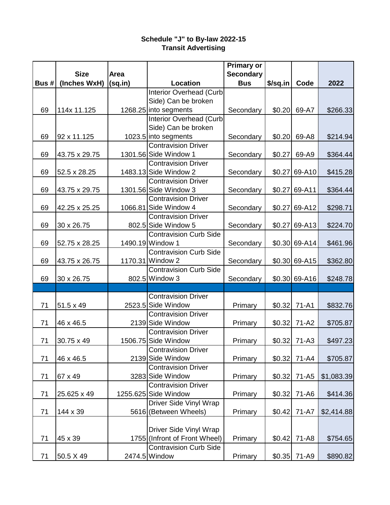## **Transit Advertising Schedule "J" to By-law 2022-15**

|      |                  |         |                                                   | <b>Primary or</b> |          |                |            |
|------|------------------|---------|---------------------------------------------------|-------------------|----------|----------------|------------|
|      | <b>Size</b>      | Area    |                                                   | <b>Secondary</b>  |          |                |            |
| Bus# | (Inches WxH)     | (sq.in) | Location                                          | <b>Bus</b>        | \$/sq.in | Code           | 2022       |
|      |                  |         | Interior Overhead (Curb                           |                   |          |                |            |
|      |                  |         | Side) Can be broken                               |                   |          |                |            |
| 69   | 114x 11.125      |         | 1268.25 into segments                             | Secondary         | \$0.20   | 69-A7          | \$266.33   |
|      |                  |         | Interior Overhead (Curb                           |                   |          |                |            |
|      |                  |         | Side) Can be broken                               |                   |          |                |            |
| 69   | 92 x 11.125      |         | 1023.5 into segments                              | Secondary         | \$0.20   | 69-A8          | \$214.94   |
|      |                  |         | <b>Contravision Driver</b>                        |                   |          |                |            |
| 69   | 43.75 x 29.75    |         | 1301.56 Side Window 1                             | Secondary         | \$0.27   | 69-A9          | \$364.44   |
|      |                  |         | <b>Contravision Driver</b>                        |                   |          |                |            |
| 69   | 52.5 x 28.25     |         | 1483.13 Side Window 2                             | Secondary         | \$0.27   | 69-A10         | \$415.28   |
|      |                  |         | <b>Contravision Driver</b>                        |                   |          |                |            |
| 69   | 43.75 x 29.75    |         | 1301.56 Side Window 3                             | Secondary         | \$0.27   | 69-A11         | \$364.44   |
|      |                  |         | <b>Contravision Driver</b>                        |                   |          |                |            |
| 69   | 42.25 x 25.25    |         | 1066.81 Side Window 4                             | Secondary         | \$0.27   | 69-A12         | \$298.71   |
|      |                  |         | <b>Contravision Driver</b>                        |                   |          |                |            |
| 69   | 30 x 26.75       |         | 802.5 Side Window 5                               | Secondary         | \$0.27   | 69-A13         | \$224.70   |
|      |                  |         | <b>Contravision Curb Side</b>                     |                   |          |                |            |
| 69   | 52.75 x 28.25    |         | 1490.19 Window 1                                  | Secondary         |          | $$0.30 69-A14$ | \$461.96   |
|      |                  |         | <b>Contravision Curb Side</b>                     |                   |          |                |            |
| 69   | 43.75 x 26.75    |         | 1170.31 Window 2                                  | Secondary         |          | \$0.30 69-A15  | \$362.80   |
|      |                  |         | <b>Contravision Curb Side</b>                     |                   |          |                |            |
| 69   | 30 x 26.75       |         | 802.5 Window 3                                    | Secondary         |          | $$0.30 69-A16$ | \$248.78   |
|      |                  |         |                                                   |                   |          |                |            |
|      |                  |         | <b>Contravision Driver</b>                        |                   |          |                |            |
| 71   | $51.5 \times 49$ |         | 2523.5 Side Window                                | Primary           | \$0.32   | 71-A1          | \$832.76   |
|      |                  |         | <b>Contravision Driver</b>                        |                   |          |                |            |
| 71   |                  |         | 2139 Side Window                                  |                   | \$0.32   | 71-A2          | \$705.87   |
|      | 46 x 46.5        |         |                                                   | Primary           |          |                |            |
|      |                  |         | <b>Contravision Driver</b><br>1506.75 Side Window |                   |          |                |            |
| 71   | 30.75 x 49       |         |                                                   | Primary           |          | $$0.32$ 71-A3  | \$497.23   |
|      |                  |         | <b>Contravision Driver</b>                        |                   |          |                |            |
| 71   | 46 x 46.5        |         | 2139 Side Window                                  | Primary           | \$0.32   | $71 - A4$      | \$705.87   |
|      |                  |         | <b>Contravision Driver</b>                        |                   |          |                |            |
| 71   | 67 x 49          |         | 3283 Side Window                                  | Primary           | \$0.32   | 71-A5          | \$1,083.39 |
|      |                  |         | <b>Contravision Driver</b>                        |                   |          |                |            |
| 71   | 25.625 x 49      |         | 1255.625 Side Window                              | Primary           | \$0.32   | 71-A6          | \$414.36   |
|      |                  |         | <b>Driver Side Vinyl Wrap</b>                     |                   |          |                |            |
| 71   | 144 x 39         |         | 5616 (Between Wheels)                             | Primary           | \$0.42   | 71-A7          | \$2,414.88 |
|      |                  |         |                                                   |                   |          |                |            |
|      |                  |         | Driver Side Vinyl Wrap                            |                   |          |                |            |
| 71   | 45 x 39          |         | 1755 (Infront of Front Wheel)                     | Primary           | \$0.42   | 71-A8          | \$754.65   |
|      |                  |         | <b>Contravision Curb Side</b>                     |                   |          |                |            |
| 71   | 50.5 X 49        |         | 2474.5 Window                                     | Primary           | \$0.35   | 71-A9          | \$890.82   |